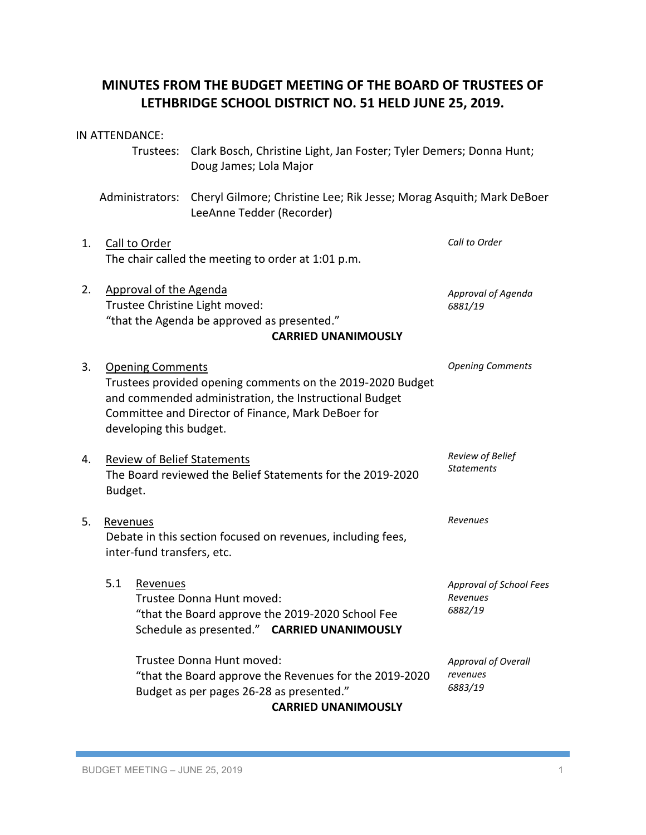# **MINUTES FROM THE BUDGET MEETING OF THE BOARD OF TRUSTEES OF LETHBRIDGE SCHOOL DISTRICT NO. 51 HELD JUNE 25, 2019.**

|    | IN ATTENDANCE:                                                                                                                                                                                                                   |                                                                                                                      |                                                                                                                              |  |                                                                                      |                                                   |
|----|----------------------------------------------------------------------------------------------------------------------------------------------------------------------------------------------------------------------------------|----------------------------------------------------------------------------------------------------------------------|------------------------------------------------------------------------------------------------------------------------------|--|--------------------------------------------------------------------------------------|---------------------------------------------------|
|    |                                                                                                                                                                                                                                  | Trustees:                                                                                                            | Doug James; Lola Major                                                                                                       |  | Clark Bosch, Christine Light, Jan Foster; Tyler Demers; Donna Hunt;                  |                                                   |
|    |                                                                                                                                                                                                                                  | Administrators:<br>Cheryl Gilmore; Christine Lee; Rik Jesse; Morag Asquith; Mark DeBoer<br>LeeAnne Tedder (Recorder) |                                                                                                                              |  |                                                                                      |                                                   |
| 1. |                                                                                                                                                                                                                                  | Call to Order<br>The chair called the meeting to order at 1:01 p.m.                                                  |                                                                                                                              |  |                                                                                      | Call to Order                                     |
| 2. | Approval of the Agenda<br>Trustee Christine Light moved:<br>"that the Agenda be approved as presented."<br><b>CARRIED UNANIMOUSLY</b>                                                                                            |                                                                                                                      |                                                                                                                              |  |                                                                                      | Approval of Agenda<br>6881/19                     |
| 3. | <b>Opening Comments</b><br>Trustees provided opening comments on the 2019-2020 Budget<br>and commended administration, the Instructional Budget<br>Committee and Director of Finance, Mark DeBoer for<br>developing this budget. |                                                                                                                      |                                                                                                                              |  |                                                                                      | <b>Opening Comments</b>                           |
| 4. | <b>Review of Belief Statements</b><br>The Board reviewed the Belief Statements for the 2019-2020<br>Budget.                                                                                                                      |                                                                                                                      |                                                                                                                              |  |                                                                                      | Review of Belief<br><b>Statements</b>             |
| 5. | Revenues<br>Debate in this section focused on revenues, including fees,<br>inter-fund transfers, etc.                                                                                                                            |                                                                                                                      |                                                                                                                              |  |                                                                                      | Revenues                                          |
|    | 5.1                                                                                                                                                                                                                              | Revenues                                                                                                             | Trustee Donna Hunt moved:<br>"that the Board approve the 2019-2020 School Fee<br>Schedule as presented." CARRIED UNANIMOUSLY |  |                                                                                      | Approval of School Fees<br>Revenues<br>6882/19    |
|    |                                                                                                                                                                                                                                  |                                                                                                                      | Trustee Donna Hunt moved:<br>Budget as per pages 26-28 as presented."                                                        |  | "that the Board approve the Revenues for the 2019-2020<br><b>CARRIED UNANIMOUSLY</b> | <b>Approval of Overall</b><br>revenues<br>6883/19 |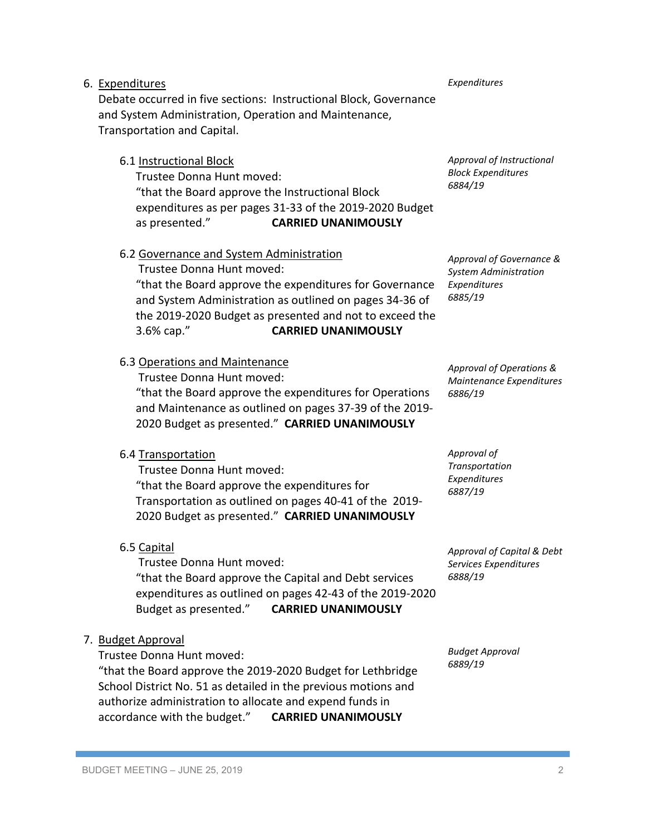# 6. Expenditures

Debate occurred in five sections: Instructional Block, Governance and System Administration, Operation and Maintenance, Transportation and Capital.

# 6.1 Instructional Block

Trustee Donna Hunt moved: "that the Board approve the Instructional Block expenditures as per pages 31-33 of the 2019-2020 Budget as presented." **CARRIED UNANIMOUSLY**

# 6.2 Governance and System Administration

Trustee Donna Hunt moved: "that the Board approve the expenditures for Governance and System Administration as outlined on pages 34-36 of the 2019-2020 Budget as presented and not to exceed the 3.6% cap." **CARRIED UNANIMOUSLY**

### 6.3 Operations and Maintenance

Trustee Donna Hunt moved: "that the Board approve the expenditures for Operations and Maintenance as outlined on pages 37-39 of the 2019- 2020 Budget as presented." **CARRIED UNANIMOUSLY**

# 6.4 Transportation

Trustee Donna Hunt moved: "that the Board approve the expenditures for Transportation as outlined on pages 40-41 of the 2019- 2020 Budget as presented." **CARRIED UNANIMOUSLY**

# 6.5 Capital

Trustee Donna Hunt moved: "that the Board approve the Capital and Debt services expenditures as outlined on pages 42-43 of the 2019-2020 Budget as presented." **CARRIED UNANIMOUSLY**

# 7. Budget Approval

Trustee Donna Hunt moved: "that the Board approve the 2019-2020 Budget for Lethbridge

School District No. 51 as detailed in the previous motions and authorize administration to allocate and expend funds in accordance with the budget." **CARRIED UNANIMOUSLY**

*Approval of Instructional Block Expenditures 6884/19*

*Approval of Governance & System Administration Expenditures 6885/19*

*Approval of Operations & Maintenance Expenditures 6886/19*

*Approval of Transportation Expenditures 6887/19*

*Approval of Capital & Debt Services Expenditures 6888/19*

*Budget Approval 6889/19*

#### *Expenditures*